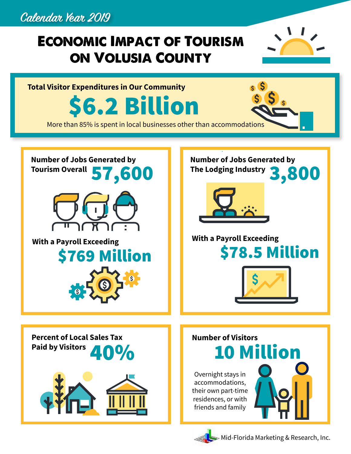## **Calendar Year 2019**

## **ECONOMIC IMPACT OF TOURISM ON VOLUSIA COUNTY**